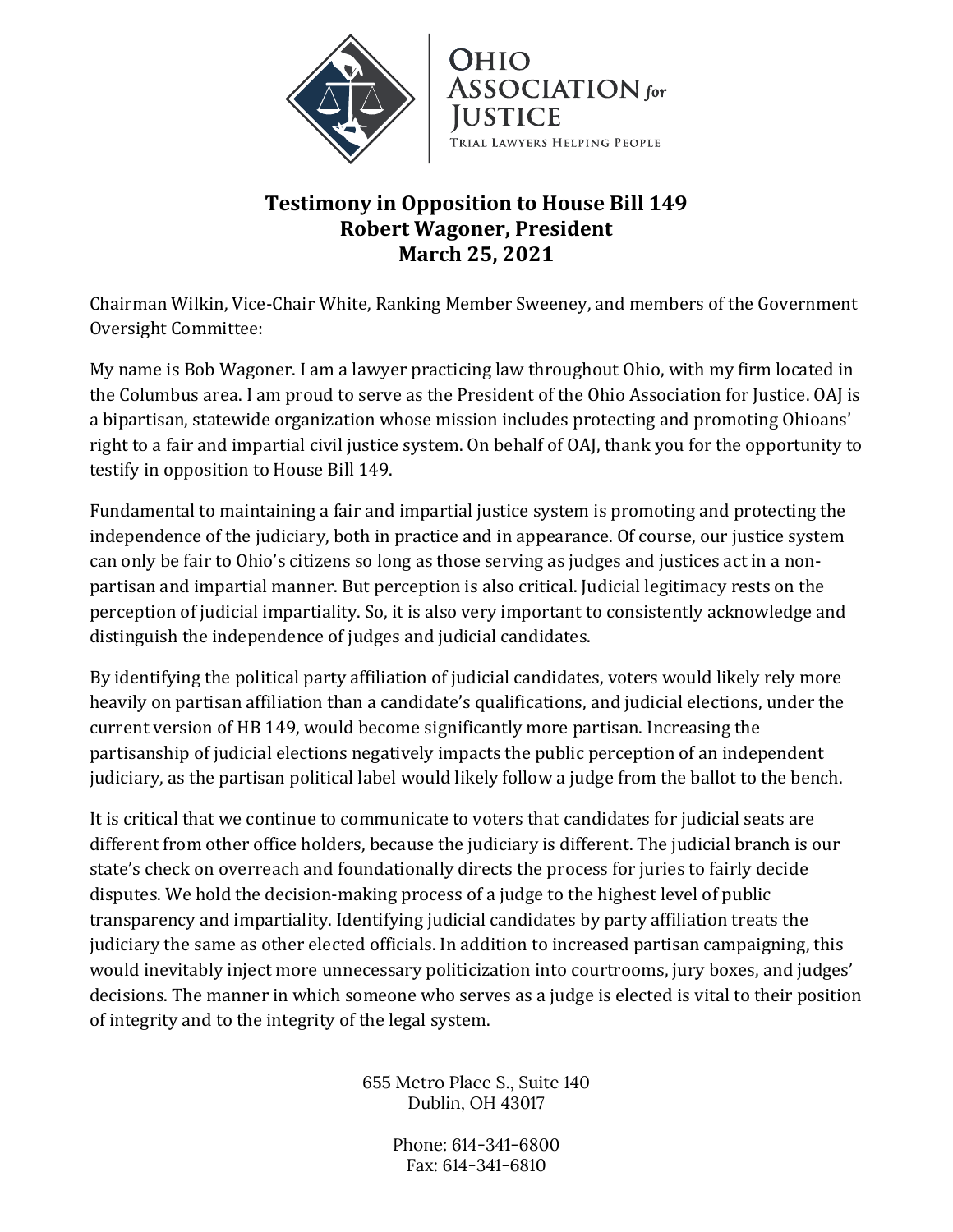

## **Testimony in Opposition to House Bill 149 Robert Wagoner, President March 25, 2021**

Chairman Wilkin, Vice-Chair White, Ranking Member Sweeney, and members of the Government Oversight Committee:

My name is Bob Wagoner. I am a lawyer practicing law throughout Ohio, with my firm located in the Columbus area. I am proud to serve as the President of the Ohio Association for Justice. OAJ is a bipartisan, statewide organization whose mission includes protecting and promoting Ohioans' right to a fair and impartial civil justice system. On behalf of OAJ, thank you for the opportunity to testify in opposition to House Bill 149.

Fundamental to maintaining a fair and impartial justice system is promoting and protecting the independence of the judiciary, both in practice and in appearance. Of course, our justice system can only be fair to Ohio's citizens so long as those serving as judges and justices act in a nonpartisan and impartial manner. But perception is also critical. Judicial legitimacy rests on the perception of judicial impartiality. So, it is also very important to consistently acknowledge and distinguish the independence of judges and judicial candidates.

By identifying the political party affiliation of judicial candidates, voters would likely rely more heavily on partisan affiliation than a candidate's qualifications, and judicial elections, under the current version of HB 149, would become significantly more partisan. Increasing the partisanship of judicial elections negatively impacts the public perception of an independent judiciary, as the partisan political label would likely follow a judge from the ballot to the bench.

It is critical that we continue to communicate to voters that candidates for judicial seats are different from other office holders, because the judiciary is different. The judicial branch is our state's check on overreach and foundationally directs the process for juries to fairly decide disputes. We hold the decision-making process of a judge to the highest level of public transparency and impartiality. Identifying judicial candidates by party affiliation treats the judiciary the same as other elected officials. In addition to increased partisan campaigning, this would inevitably inject more unnecessary politicization into courtrooms, jury boxes, and judges' decisions. The manner in which someone who serves as a judge is elected is vital to their position of integrity and to the integrity of the legal system.

> 655 Metro Place S., Suite 140 Dublin, OH 43017

> > Phone: 614-341-6800 Fax: 614-341-6810